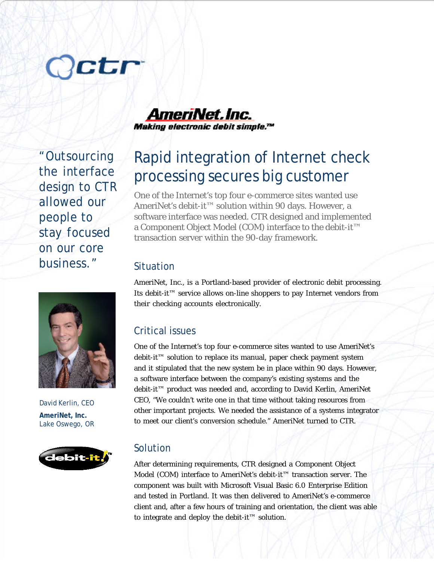# Octr

"Outsourcing the interface design to CTR allowed our people to stay focused on our core business."



David Kerlin, CEO **AmeriNet, Inc.** Lake Oswego, OR



AmeriNet. Inc. Making electronic debit simple.™

# Rapid integration of Internet check processing secures big customer

One of the Internet's top four e-commerce sites wanted use AmeriNet's debit-it™ solution within 90 days. However, a software interface was needed. CTR designed and implemented a Component Object Model (COM) interface to the debit-it™ transaction server within the 90-day framework.

### Situation

AmeriNet, Inc., is a Portland-based provider of electronic debit processing. Its debit-it™ service allows on-line shoppers to pay Internet vendors from their checking accounts electronically.

# Critical issues

One of the Internet's top four e-commerce sites wanted to use AmeriNet's debit-it™ solution to replace its manual, paper check payment system and it stipulated that the new system be in place within 90 days. However, a software interface between the company's existing systems and the debit-it™ product was needed and, according to David Kerlin, AmeriNet CEO, "We couldn't write one in that time without taking resources from other important projects. We needed the assistance of a systems integrator to meet our client's conversion schedule." AmeriNet turned to CTR.

## Solution

After determining requirements, CTR designed a Component Object Model (COM) interface to AmeriNet's debit-it™ transaction server. The component was built with Microsoft Visual Basic 6.0 Enterprise Edition and tested in Portland. It was then delivered to AmeriNet's e-commerce client and, after a few hours of training and orientation, the client was able to integrate and deploy the debit-it™ solution.